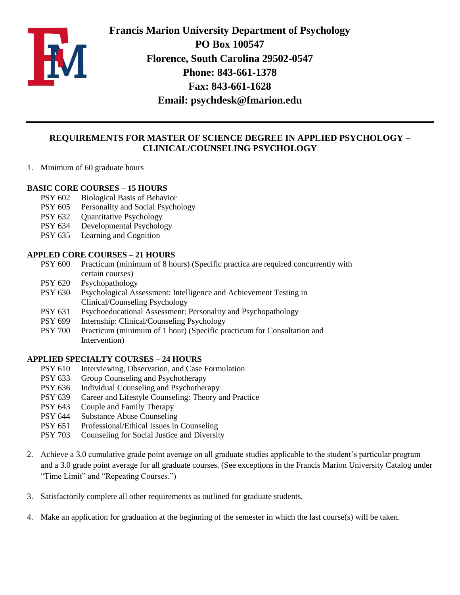

**Francis Marion University Department of Psychology PO Box 100547 Florence, South Carolina 29502-0547 Phone: 843-661-1378 Fax: 843-661-1628 Email: [psychdesk@fmarion.edu](mailto:psychdesk@fmarion.edu)**

## **REQUIREMENTS FOR MASTER OF SCIENCE DEGREE IN APPLIED PSYCHOLOGY – CLINICAL/COUNSELING PSYCHOLOGY**

1. Minimum of 60 graduate hours

### **BASIC CORE COURSES – 15 HOURS**

- PSY 602 Biological Basis of Behavior
- PSY 605 Personality and Social Psychology
- PSY 632 Ouantitative Psychology
- PSY 634 Developmental Psychology
- PSY 635 Learning and Cognition

### **APPLED CORE COURSES – 21 HOURS**

- PSY 600 Practicum (minimum of 8 hours) (Specific practica are required concurrently with certain courses)
- PSY 620 Psychopathology
- PSY 630 Psychological Assessment: Intelligence and Achievement Testing in Clinical/Counseling Psychology
- PSY 631 Psychoeducational Assessment: Personality and Psychopathology
- PSY 699 Internship: Clinical/Counseling Psychology
- PSY 700 Practicum (minimum of 1 hour) (Specific practicum for Consultation and Intervention)

### **APPLIED SPECIALTY COURSES – 24 HOURS**

- PSY 610 Interviewing, Observation, and Case Formulation
- PSY 633 Group Counseling and Psychotherapy
- PSY 636 Individual Counseling and Psychotherapy
- PSY 639 Career and Lifestyle Counseling: Theory and Practice
- PSY 643 Couple and Family Therapy
- PSY 644 Substance Abuse Counseling
- PSY 651 Professional/Ethical Issues in Counseling
- PSY 703 Counseling for Social Justice and Diversity
- 2. Achieve a 3.0 cumulative grade point average on all graduate studies applicable to the student's particular program and a 3.0 grade point average for all graduate courses. (See exceptions in the Francis Marion University Catalog under "Time Limit" and "Repeating Courses.")
- 3. Satisfactorily complete all other requirements as outlined for graduate students.
- 4. Make an application for graduation at the beginning of the semester in which the last course(s) will be taken.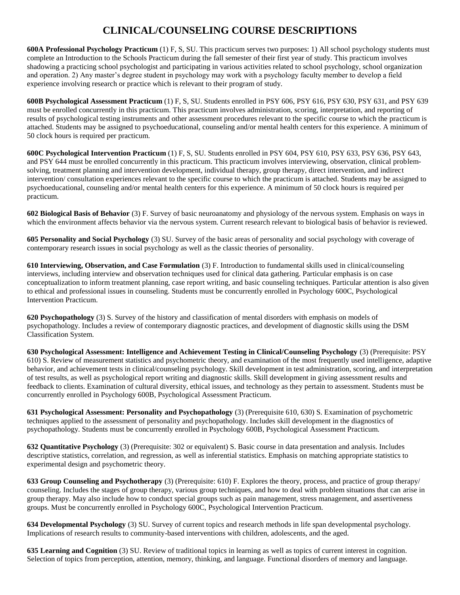## **CLINICAL/COUNSELING COURSE DESCRIPTIONS**

**600A Professional Psychology Practicum** (1) F, S, SU. This practicum serves two purposes: 1) All school psychology students must complete an Introduction to the Schools Practicum during the fall semester of their first year of study. This practicum involves shadowing a practicing school psychologist and participating in various activities related to school psychology, school organization and operation. 2) Any master's degree student in psychology may work with a psychology faculty member to develop a field experience involving research or practice which is relevant to their program of study.

**600B Psychological Assessment Practicum** (1) F, S, SU. Students enrolled in PSY 606, PSY 616, PSY 630, PSY 631, and PSY 639 must be enrolled concurrently in this practicum. This practicum involves administration, scoring, interpretation, and reporting of results of psychological testing instruments and other assessment procedures relevant to the specific course to which the practicum is attached. Students may be assigned to psychoeducational, counseling and/or mental health centers for this experience. A minimum of 50 clock hours is required per practicum.

**600C Psychological Intervention Practicum** (1) F, S, SU. Students enrolled in PSY 604, PSY 610, PSY 633, PSY 636, PSY 643, and PSY 644 must be enrolled concurrently in this practicum. This practicum involves interviewing, observation, clinical problemsolving, treatment planning and intervention development, individual therapy, group therapy, direct intervention, and indirect intervention/ consultation experiences relevant to the specific course to which the practicum is attached. Students may be assigned to psychoeducational, counseling and/or mental health centers for this experience. A minimum of 50 clock hours is required per practicum.

**602 Biological Basis of Behavior** (3) F. Survey of basic neuroanatomy and physiology of the nervous system. Emphasis on ways in which the environment affects behavior via the nervous system. Current research relevant to biological basis of behavior is reviewed.

**605 Personality and Social Psychology** (3) SU. Survey of the basic areas of personality and social psychology with coverage of contemporary research issues in social psychology as well as the classic theories of personality.

**610 Interviewing, Observation, and Case Formulation** (3) F. Introduction to fundamental skills used in clinical/counseling interviews, including interview and observation techniques used for clinical data gathering. Particular emphasis is on case conceptualization to inform treatment planning, case report writing, and basic counseling techniques. Particular attention is also given to ethical and professional issues in counseling. Students must be concurrently enrolled in Psychology 600C, Psychological Intervention Practicum.

**620 Psychopathology** (3) S. Survey of the history and classification of mental disorders with emphasis on models of psychopathology. Includes a review of contemporary diagnostic practices, and development of diagnostic skills using the DSM Classification System.

**630 Psychological Assessment: Intelligence and Achievement Testing in Clinical/Counseling Psychology** (3) (Prerequisite: PSY 610) S. Review of measurement statistics and psychometric theory, and examination of the most frequently used intelligence, adaptive behavior, and achievement tests in clinical/counseling psychology. Skill development in test administration, scoring, and interpretation of test results, as well as psychological report writing and diagnostic skills. Skill development in giving assessment results and feedback to clients. Examination of cultural diversity, ethical issues, and technology as they pertain to assessment. Students must be concurrently enrolled in Psychology 600B, Psychological Assessment Practicum.

**631 Psychological Assessment: Personality and Psychopathology** (3) (Prerequisite 610, 630) S. Examination of psychometric techniques applied to the assessment of personality and psychopathology. Includes skill development in the diagnostics of psychopathology. Students must be concurrently enrolled in Psychology 600B, Psychological Assessment Practicum.

**632 Quantitative Psychology** (3) (Prerequisite: 302 or equivalent) S. Basic course in data presentation and analysis. Includes descriptive statistics, correlation, and regression, as well as inferential statistics. Emphasis on matching appropriate statistics to experimental design and psychometric theory.

**633 Group Counseling and Psychotherapy** (3) (Prerequisite: 610) F. Explores the theory, process, and practice of group therapy/ counseling. Includes the stages of group therapy, various group techniques, and how to deal with problem situations that can arise in group therapy. May also include how to conduct special groups such as pain management, stress management, and assertiveness groups. Must be concurrently enrolled in Psychology 600C, Psychological Intervention Practicum.

**634 Developmental Psychology** (3) SU. Survey of current topics and research methods in life span developmental psychology. Implications of research results to community-based interventions with children, adolescents, and the aged.

**635 Learning and Cognition** (3) SU. Review of traditional topics in learning as well as topics of current interest in cognition. Selection of topics from perception, attention, memory, thinking, and language. Functional disorders of memory and language.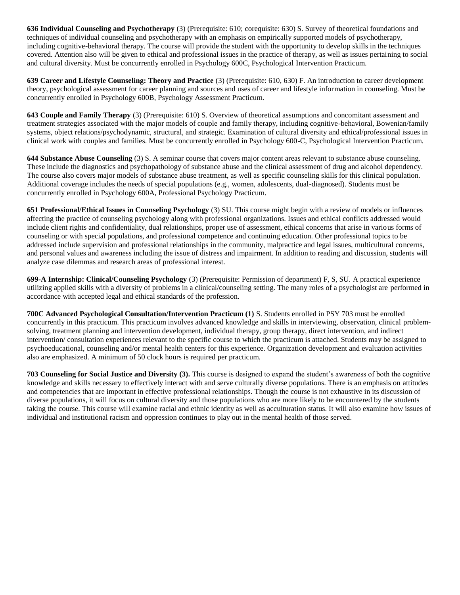**636 Individual Counseling and Psychotherapy** (3) (Prerequisite: 610; corequisite: 630) S. Survey of theoretical foundations and techniques of individual counseling and psychotherapy with an emphasis on empirically supported models of psychotherapy, including cognitive-behavioral therapy. The course will provide the student with the opportunity to develop skills in the techniques covered. Attention also will be given to ethical and professional issues in the practice of therapy, as well as issues pertaining to social and cultural diversity. Must be concurrently enrolled in Psychology 600C, Psychological Intervention Practicum.

**639 Career and Lifestyle Counseling: Theory and Practice** (3) (Prerequisite: 610, 630) F. An introduction to career development theory, psychological assessment for career planning and sources and uses of career and lifestyle information in counseling. Must be concurrently enrolled in Psychology 600B, Psychology Assessment Practicum.

**643 Couple and Family Therapy** (3) (Prerequisite: 610) S. Overview of theoretical assumptions and concomitant assessment and treatment strategies associated with the major models of couple and family therapy, including cognitive-behavioral, Bowenian/family systems, object relations/psychodynamic, structural, and strategic. Examination of cultural diversity and ethical/professional issues in clinical work with couples and families. Must be concurrently enrolled in Psychology 600-C, Psychological Intervention Practicum.

**644 Substance Abuse Counseling** (3) S. A seminar course that covers major content areas relevant to substance abuse counseling. These include the diagnostics and psychopathology of substance abuse and the clinical assessment of drug and alcohol dependency. The course also covers major models of substance abuse treatment, as well as specific counseling skills for this clinical population. Additional coverage includes the needs of special populations (e.g., women, adolescents, dual-diagnosed). Students must be concurrently enrolled in Psychology 600A, Professional Psychology Practicum.

**651 Professional/Ethical Issues in Counseling Psychology** (3) SU. This course might begin with a review of models or influences affecting the practice of counseling psychology along with professional organizations. Issues and ethical conflicts addressed would include client rights and confidentiality, dual relationships, proper use of assessment, ethical concerns that arise in various forms of counseling or with special populations, and professional competence and continuing education. Other professional topics to be addressed include supervision and professional relationships in the community, malpractice and legal issues, multicultural concerns, and personal values and awareness including the issue of distress and impairment. In addition to reading and discussion, students will analyze case dilemmas and research areas of professional interest.

**699-A Internship: Clinical/Counseling Psychology** (3) (Prerequisite: Permission of department) F, S, SU. A practical experience utilizing applied skills with a diversity of problems in a clinical/counseling setting. The many roles of a psychologist are performed in accordance with accepted legal and ethical standards of the profession.

**700C Advanced Psychological Consultation/Intervention Practicum (1)** S. Students enrolled in PSY 703 must be enrolled concurrently in this practicum. This practicum involves advanced knowledge and skills in interviewing, observation, clinical problemsolving, treatment planning and intervention development, individual therapy, group therapy, direct intervention, and indirect intervention/ consultation experiences relevant to the specific course to which the practicum is attached. Students may be assigned to psychoeducational, counseling and/or mental health centers for this experience. Organization development and evaluation activities also are emphasized. A minimum of 50 clock hours is required per practicum.

**703 Counseling for Social Justice and Diversity (3).** This course is designed to expand the student's awareness of both the cognitive knowledge and skills necessary to effectively interact with and serve culturally diverse populations. There is an emphasis on attitudes and competencies that are important in effective professional relationships. Though the course is not exhaustive in its discussion of diverse populations, it will focus on cultural diversity and those populations who are more likely to be encountered by the students taking the course. This course will examine racial and ethnic identity as well as acculturation status. It will also examine how issues of individual and institutional racism and oppression continues to play out in the mental health of those served.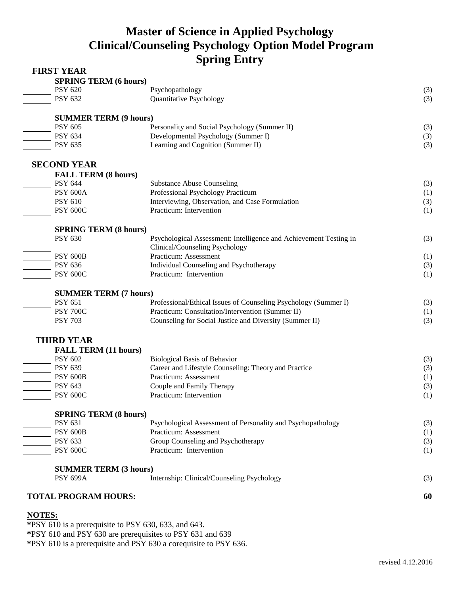# **Master of Science in Applied Psychology Clinical/Counseling Psychology Option Model Program Spring Entry**

| <b>FIRST YEAR</b>            |                                                                   |     |
|------------------------------|-------------------------------------------------------------------|-----|
| <b>SPRING TERM (6 hours)</b> |                                                                   |     |
| <b>PSY 620</b>               | Psychopathology                                                   | (3) |
| <b>PSY 632</b>               | Quantitative Psychology                                           | (3) |
| <b>SUMMER TERM (9 hours)</b> |                                                                   |     |
| <b>PSY 605</b>               | Personality and Social Psychology (Summer II)                     | (3) |
| <b>PSY 634</b>               | Developmental Psychology (Summer I)                               | (3) |
| PSY 635                      | Learning and Cognition (Summer II)                                | (3) |
| <b>SECOND YEAR</b>           |                                                                   |     |
| <b>FALL TERM (8 hours)</b>   |                                                                   |     |
| <b>PSY 644</b>               | <b>Substance Abuse Counseling</b>                                 | (3) |
| <b>PSY 600A</b>              | Professional Psychology Practicum                                 | (1) |
| <b>PSY 610</b>               | Interviewing, Observation, and Case Formulation                   | (3) |
| <b>PSY 600C</b>              | Practicum: Intervention                                           | (1) |
| <b>SPRING TERM (8 hours)</b> |                                                                   |     |
| <b>PSY 630</b>               | Psychological Assessment: Intelligence and Achievement Testing in | (3) |
|                              | Clinical/Counseling Psychology                                    |     |
| <b>PSY 600B</b>              | Practicum: Assessment                                             | (1) |
| <b>PSY 636</b>               | Individual Counseling and Psychotherapy                           | (3) |
| <b>PSY 600C</b>              | Practicum: Intervention                                           | (1) |
| <b>SUMMER TERM (7 hours)</b> |                                                                   |     |
| <b>PSY 651</b>               | Professional/Ethical Issues of Counseling Psychology (Summer I)   | (3) |
| <b>PSY 700C</b>              | Practicum: Consultation/Intervention (Summer II)                  | (1) |
| <b>PSY 703</b>               | Counseling for Social Justice and Diversity (Summer II)           | (3) |
| <b>THIRD YEAR</b>            |                                                                   |     |
| <b>FALL TERM (11 hours)</b>  |                                                                   |     |
| <b>PSY 602</b>               | <b>Biological Basis of Behavior</b>                               | (3) |
| <b>PSY 639</b>               | Career and Lifestyle Counseling: Theory and Practice              | (3) |
| <b>PSY 600B</b>              | Practicum: Assessment                                             | (1) |
| <b>PSY 643</b>               | Couple and Family Therapy                                         | (3) |
| <b>PSY 600C</b>              | Practicum: Intervention                                           | (1) |
| <b>SPRING TERM (8 hours)</b> |                                                                   |     |
| <b>PSY 631</b>               | Psychological Assessment of Personality and Psychopathology       | (3) |
| <b>PSY 600B</b>              | Practicum: Assessment                                             | (1) |
| PSY 633                      | Group Counseling and Psychotherapy                                | (3) |
| <b>PSY 600C</b>              | Practicum: Intervention                                           | (1) |
| <b>SUMMER TERM (3 hours)</b> |                                                                   |     |
| <b>PSY 699A</b>              | Internship: Clinical/Counseling Psychology                        | (3) |
| <b>TOTAL PROGRAM HOURS:</b>  |                                                                   | 60  |
|                              |                                                                   |     |

## **NOTES:**

**\***PSY 610 is a prerequisite to PSY 630, 633, and 643. **\***PSY 610 and PSY 630 are prerequisites to PSY 631 and 639 **\***PSY 610 is a prerequisite and PSY 630 a corequisite to PSY 636.